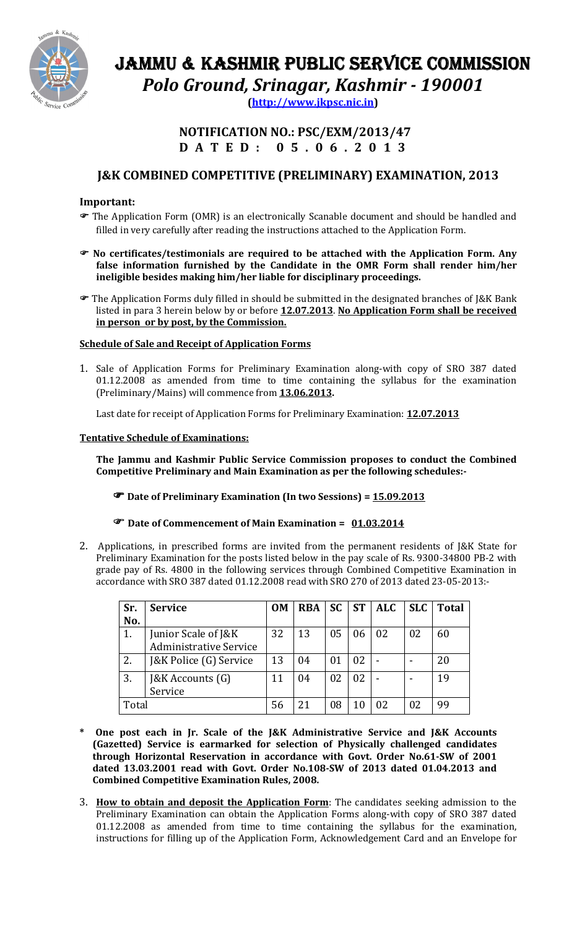

# JAMMU & KASHMIR PUBLIC SERVICE COMMISSION Polo Ground, Srinagar, Kashmir - 190001

(http://www.jkpsc.nic.in)

## NOTIFICATION NO.: PSC/EXM/2013/47 D A T E D : 0 5 . 0 6 . 2 0 1 3

## J&K COMBINED COMPETITIVE (PRELIMINARY) EXAMINATION, 2013

## Important:

- The Application Form (OMR) is an electronically Scanable document and should be handled and filled in very carefully after reading the instructions attached to the Application Form.
- No certificates/testimonials are required to be attached with the Application Form. Any false information furnished by the Candidate in the OMR Form shall render him/her ineligible besides making him/her liable for disciplinary proceedings.
- The Application Forms duly filled in should be submitted in the designated branches of J&K Bank listed in para 3 herein below by or before 12.07.2013. No Application Form shall be received in person or by post, by the Commission.

## Schedule of Sale and Receipt of Application Forms

1. Sale of Application Forms for Preliminary Examination along-with copy of SRO 387 dated 01.12.2008 as amended from time to time containing the syllabus for the examination (Preliminary/Mains) will commence from 13.06.2013.

Last date for receipt of Application Forms for Preliminary Examination: 12.07.2013

## Tentative Schedule of Examinations:

The Jammu and Kashmir Public Service Commission proposes to conduct the Combined Competitive Preliminary and Main Examination as per the following schedules:-

Date of Preliminary Examination (In two Sessions) = 15.09.2013

## The Date of Commencement of Main Examination = 01.03.2014

2. Applications, in prescribed forms are invited from the permanent residents of J&K State for Preliminary Examination for the posts listed below in the pay scale of Rs. 9300-34800 PB-2 with grade pay of Rs. 4800 in the following services through Combined Competitive Examination in accordance with SRO 387 dated 01.12.2008 read with SRO 270 of 2013 dated 23-05-2013:-

| Sr.   | <b>Service</b>                | <b>OM</b> | <b>RBA</b> | <b>SC</b> | <b>ST</b> | ALC | <b>SLC</b> | <b>Total</b> |
|-------|-------------------------------|-----------|------------|-----------|-----------|-----|------------|--------------|
| No.   |                               |           |            |           |           |     |            |              |
| 1.    | Junior Scale of J&K           | 32        | 13         | 05        | 06        | 02  | 02         | 60           |
|       | <b>Administrative Service</b> |           |            |           |           |     |            |              |
| 2.    | J&K Police (G) Service        | 13        | 04         | 01        | 02        |     |            | 20           |
| 3.    | [&K Accounts (G)              | 11        | 04         | 02        | 02        |     |            | 19           |
|       | Service                       |           |            |           |           |     |            |              |
| Total |                               | 56        |            | 08        |           | 02  |            | 99           |

- \* One post each in Jr. Scale of the J&K Administrative Service and J&K Accounts (Gazetted) Service is earmarked for selection of Physically challenged candidates through Horizontal Reservation in accordance with Govt. Order No.61-SW of 2001 dated 13.03.2001 read with Govt. Order No.108-SW of 2013 dated 01.04.2013 and Combined Competitive Examination Rules, 2008.
- 3. How to obtain and deposit the Application Form: The candidates seeking admission to the Preliminary Examination can obtain the Application Forms along-with copy of SRO 387 dated 01.12.2008 as amended from time to time containing the syllabus for the examination, instructions for filling up of the Application Form, Acknowledgement Card and an Envelope for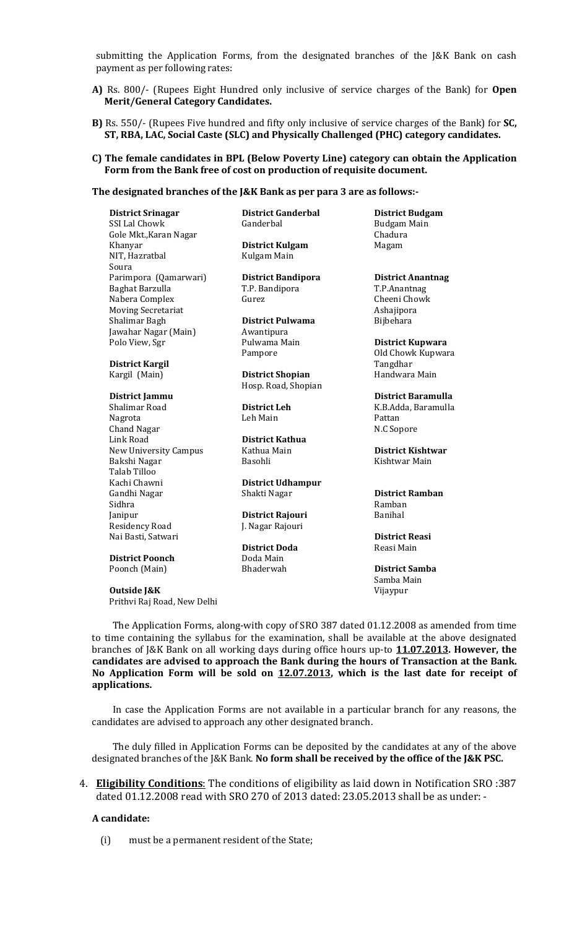submitting the Application Forms, from the designated branches of the J&K Bank on cash payment as per following rates:

- A) Rs. 800/- (Rupees Eight Hundred only inclusive of service charges of the Bank) for **Open** Merit/General Category Candidates.
- B) Rs. 550/- (Rupees Five hundred and fifty only inclusive of service charges of the Bank) for **SC**, ST, RBA, LAC, Social Caste (SLC) and Physically Challenged (PHC) category candidates.

#### C) The female candidates in BPL (Below Poverty Line) category can obtain the Application Form from the Bank free of cost on production of requisite document.

#### The designated branches of the J&K Bank as per para 3 are as follows:-

District Srinagar District Ganderbal District Budgam SSI Lal Chowk Gole Mkt., Karan Nagar **Chadura** Chadura Khanyar **District Kulgam** Magam NIT, Hazratbal Kulgam Main Soura Parimpora (Qamarwari) **District Bandipora District Anantnag** Baghat Barzulla T.P. Bandipora T.P.Anantnag Nabera Complex Gurez Gurez Cheeni Chowk Moving Secretariat **Ashajipora** Ashajipora Shalimar Bagh **District Pulwama** Bijbehara<br>Jawahar Nagar (Main) Awantipura Jawahar Nagar (Main) Polo View, Sgr **Pulwama Main** District Kupwara

District Kargil Names and Tangdhar Tangdhar

Nagrota Leh Main Pattan Chand Nagar Link Road District Kathua New University Campus Kathua Main **District Kishtwar** Bakshi Nagar **Basohli** Basohli Kishtwar Main Talab Tilloo Kachi Chawni District Udhampur Sidhra **Ramban** Janipur **District Rajouri** Banihal Residency Road J. Nagar Rajouri Nai Basti, Satwari **District Reasi** 

**District Poonch** Doda Main<br>Poonch (Main) Bhaderwah Poonch (Main) Bhaderwah District Samba

## **Outside J&K** Vijaypur

Prithvi Raj Road, New Delhi

Kargil (Main) **District Shopian** Handwara Main Hosp. Road, Shopian

Shakti Nagar **District Ramban** 

District Doda<br>
Reasi Main

Pampore **Old Chowk Kupwara** 

District Jammu District Baramulla Shalimar Road **District Leh** K.B.Adda, Baramulla

Samba Main

The Application Forms, along-with copy of SRO 387 dated 01.12.2008 as amended from time to time containing the syllabus for the examination, shall be available at the above designated branches of J&K Bank on all working days during office hours up-to 11.07.2013. However, the candidates are advised to approach the Bank during the hours of Transaction at the Bank. No Application Form will be sold on 12.07.2013, which is the last date for receipt of applications.

In case the Application Forms are not available in a particular branch for any reasons, the candidates are advised to approach any other designated branch.

The duly filled in Application Forms can be deposited by the candidates at any of the above designated branches of the J&K Bank. No form shall be received by the office of the J&K PSC.

4. Eligibility Conditions: The conditions of eligibility as laid down in Notification SRO :387 dated 01.12.2008 read with SRO 270 of 2013 dated: 23.05.2013 shall be as under: -

#### A candidate:

(i) must be a permanent resident of the State;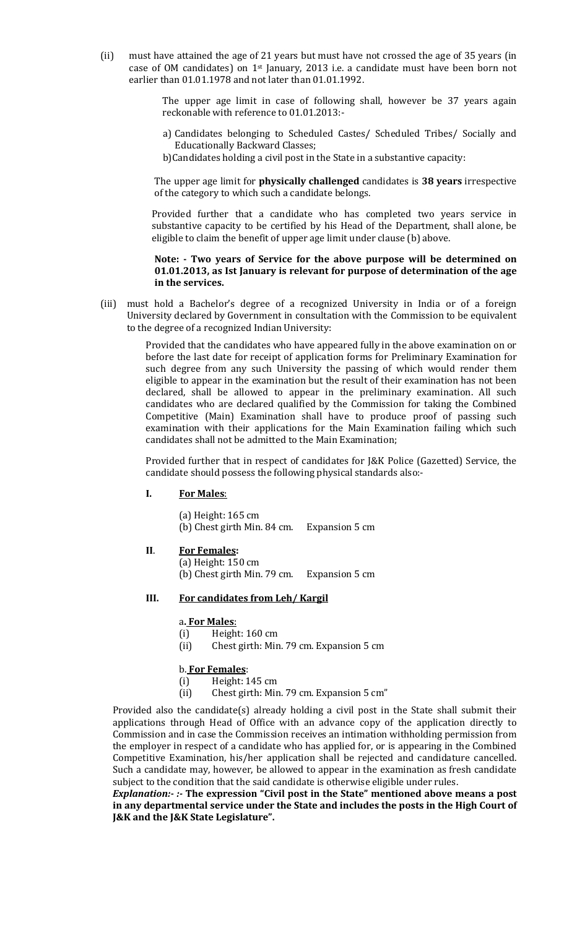(ii) must have attained the age of 21 years but must have not crossed the age of 35 years (in case of OM candidates) on 1st January, 2013 i.e. a candidate must have been born not earlier than 01.01.1978 and not later than 01.01.1992.

> The upper age limit in case of following shall, however be 37 years again reckonable with reference to 01.01.2013:-

- a) Candidates belonging to Scheduled Castes/ Scheduled Tribes/ Socially and Educationally Backward Classes;
- b)Candidates holding a civil post in the State in a substantive capacity:

The upper age limit for **physically challenged** candidates is 38 years irrespective of the category to which such a candidate belongs.

 Provided further that a candidate who has completed two years service in substantive capacity to be certified by his Head of the Department, shall alone, be eligible to claim the benefit of upper age limit under clause (b) above.

#### Note: - Two years of Service for the above purpose will be determined on 01.01.2013, as Ist January is relevant for purpose of determination of the age in the services.

(iii) must hold a Bachelor's degree of a recognized University in India or of a foreign University declared by Government in consultation with the Commission to be equivalent to the degree of a recognized Indian University:

> Provided that the candidates who have appeared fully in the above examination on or before the last date for receipt of application forms for Preliminary Examination for such degree from any such University the passing of which would render them eligible to appear in the examination but the result of their examination has not been declared, shall be allowed to appear in the preliminary examination. All such candidates who are declared qualified by the Commission for taking the Combined Competitive (Main) Examination shall have to produce proof of passing such examination with their applications for the Main Examination failing which such candidates shall not be admitted to the Main Examination;

> Provided further that in respect of candidates for J&K Police (Gazetted) Service, the candidate should possess the following physical standards also:-

#### I. For Males:

(a) Height: 165 cm (b) Chest girth Min. 84 cm. Expansion 5 cm

- II. For Females:
	- (a) Height: 150 cm
		- (b) Chest girth Min. 79 cm. Expansion 5 cm

#### III. For candidates from Leh/ Kargil

#### a. For Males:

- (i) Height: 160 cm
- (ii) Chest girth: Min. 79 cm. Expansion 5 cm

#### b. For Females:

- (i) Height: 145 cm
- (ii) Chest girth: Min. 79 cm. Expansion 5 cm"

Provided also the candidate(s) already holding a civil post in the State shall submit their applications through Head of Office with an advance copy of the application directly to Commission and in case the Commission receives an intimation withholding permission from the employer in respect of a candidate who has applied for, or is appearing in the Combined Competitive Examination, his/her application shall be rejected and candidature cancelled. Such a candidate may, however, be allowed to appear in the examination as fresh candidate subject to the condition that the said candidate is otherwise eligible under rules.

Explanation:- :- The expression "Civil post in the State" mentioned above means a post in any departmental service under the State and includes the posts in the High Court of J&K and the J&K State Legislature".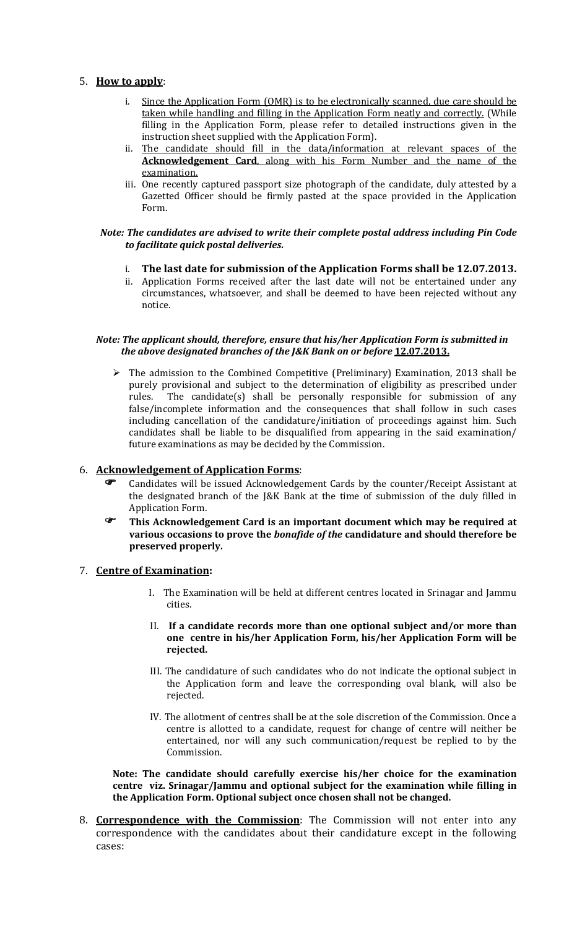### 5. How to apply:

- i. Since the Application Form (OMR) is to be electronically scanned, due care should be taken while handling and filling in the Application Form neatly and correctly. (While filling in the Application Form, please refer to detailed instructions given in the instruction sheet supplied with the Application Form).
- ii. The candidate should fill in the data/information at relevant spaces of the Acknowledgement Card, along with his Form Number and the name of the examination.
- iii. One recently captured passport size photograph of the candidate, duly attested by a Gazetted Officer should be firmly pasted at the space provided in the Application Form.

#### Note: The candidates are advised to write their complete postal address including Pin Code to facilitate quick postal deliveries.

- i. The last date for submission of the Application Forms shall be 12.07.2013.
- ii. Application Forms received after the last date will not be entertained under any circumstances, whatsoever, and shall be deemed to have been rejected without any notice.

#### Note: The applicant should, therefore, ensure that his/her Application Form is submitted in the above designated branches of the J&K Bank on or before 12.07.2013.

> The admission to the Combined Competitive (Preliminary) Examination, 2013 shall be purely provisional and subject to the determination of eligibility as prescribed under rules. The candidate(s) shall be personally responsible for submission of any false/incomplete information and the consequences that shall follow in such cases including cancellation of the candidature/initiation of proceedings against him. Such candidates shall be liable to be disqualified from appearing in the said examination/ future examinations as may be decided by the Commission.

## 6. Acknowledgement of Application Forms:

- Candidates will be issued Acknowledgement Cards by the counter/Receipt Assistant at the designated branch of the J&K Bank at the time of submission of the duly filled in Application Form.
- **This Acknowledgement Card is an important document which may be required at** various occasions to prove the bonafide of the candidature and should therefore be preserved properly.

## 7. Centre of Examination:

- I. The Examination will be held at different centres located in Srinagar and Jammu cities.
- II. If a candidate records more than one optional subject and/or more than one centre in his/her Application Form, his/her Application Form will be rejected.
- III. The candidature of such candidates who do not indicate the optional subject in the Application form and leave the corresponding oval blank, will also be rejected.
- IV. The allotment of centres shall be at the sole discretion of the Commission. Once a centre is allotted to a candidate, request for change of centre will neither be entertained, nor will any such communication/request be replied to by the Commission.

Note: The candidate should carefully exercise his/her choice for the examination centre viz. Srinagar/Jammu and optional subject for the examination while filling in the Application Form. Optional subject once chosen shall not be changed.

8. **Correspondence with the Commission**: The Commission will not enter into any correspondence with the candidates about their candidature except in the following cases: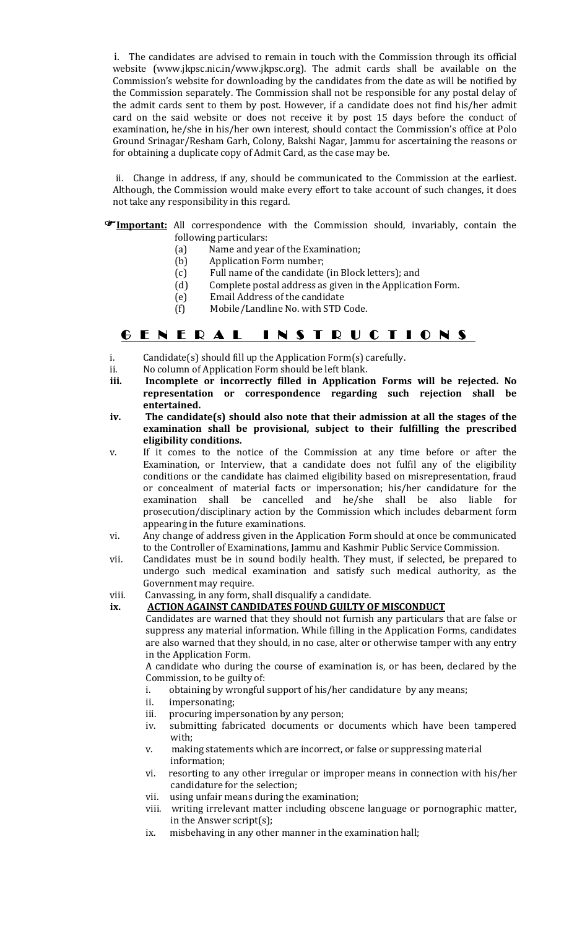i. The candidates are advised to remain in touch with the Commission through its official website (www.jkpsc.nic.in/www.jkpsc.org). The admit cards shall be available on the Commission's website for downloading by the candidates from the date as will be notified by the Commission separately. The Commission shall not be responsible for any postal delay of the admit cards sent to them by post. However, if a candidate does not find his/her admit card on the said website or does not receive it by post 15 days before the conduct of examination, he/she in his/her own interest, should contact the Commission's office at Polo Ground Srinagar/Resham Garh, Colony, Bakshi Nagar, Jammu for ascertaining the reasons or for obtaining a duplicate copy of Admit Card, as the case may be.

 ii. Change in address, if any, should be communicated to the Commission at the earliest. Although, the Commission would make every effort to take account of such changes, it does not take any responsibility in this regard.

#### **FImportant:** All correspondence with the Commission should, invariably, contain the following particulars:

- (a) Name and year of the Examination;<br>(b) Application Form number;
- (b) Application Form number;<br>(c) Full name of the candidate
	- Full name of the candidate (in Block letters); and
- (d) Complete postal address as given in the Application Form.
- (e) Email Address of the candidate
- (f) Mobile/Landline No. with STD Code.

## G E N E R A L I N S T R U C T I O N S

- i. Candidate(s) should fill up the Application Form(s) carefully.
- ii. No column of Application Form should be left blank.
- iii. Incomplete or incorrectly filled in Application Forms will be rejected. No representation or correspondence regarding such rejection shall be entertained.
- iv. The candidate(s) should also note that their admission at all the stages of the examination shall be provisional, subject to their fulfilling the prescribed eligibility conditions.
- v. If it comes to the notice of the Commission at any time before or after the Examination, or Interview, that a candidate does not fulfil any of the eligibility conditions or the candidate has claimed eligibility based on misrepresentation, fraud or concealment of material facts or impersonation; his/her candidature for the examination shall be cancelled and he/she shall be also liable for prosecution/disciplinary action by the Commission which includes debarment form appearing in the future examinations.
- vi. Any change of address given in the Application Form should at once be communicated to the Controller of Examinations, Jammu and Kashmir Public Service Commission.
- vii. Candidates must be in sound bodily health. They must, if selected, be prepared to undergo such medical examination and satisfy such medical authority, as the Government may require.
- viii. Canvassing, in any form, shall disqualify a candidate.

### ix. ACTION AGAINST CANDIDATES FOUND GUILTY OF MISCONDUCT

Candidates are warned that they should not furnish any particulars that are false or suppress any material information. While filling in the Application Forms, candidates are also warned that they should, in no case, alter or otherwise tamper with any entry in the Application Form.

A candidate who during the course of examination is, or has been, declared by the Commission, to be guilty of:

- i. obtaining by wrongful support of his/her candidature by any means;
- ii. impersonating;
- iii. procuring impersonation by any person;
- iv. submitting fabricated documents or documents which have been tampered with;
- v. making statements which are incorrect, or false or suppressing material information;
- vi. resorting to any other irregular or improper means in connection with his/her candidature for the selection;
- vii. using unfair means during the examination;
- viii. writing irrelevant matter including obscene language or pornographic matter, in the Answer script(s);
- ix. misbehaving in any other manner in the examination hall;